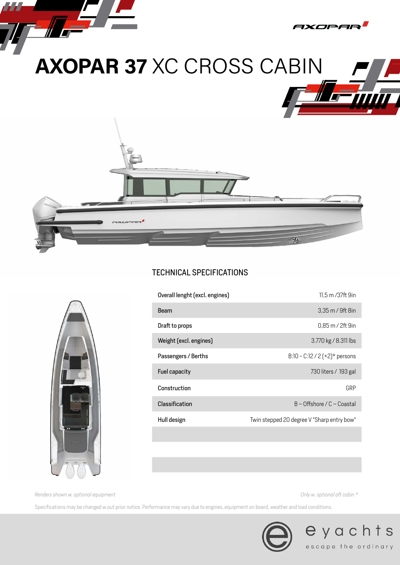

# TECHNICAL SPECIFICATIONS



| Beam<br>3,35 m / 9ft 8in<br>0.85 m / 2ft 9in<br>Draft to props<br>Weight (excl. engines)<br>3.770 kg / 8.311 lbs<br>B:10 - C:12 / 2 $(+2)*$ persons<br>Passengers / Berths<br>Fuel capacity<br>730 liters / 193 gal<br>Construction<br>GRP<br>$B -$ Offshore / C – Coastal<br>Classification<br>Twin stepped 20 degree V "Sharp entry bow"<br>Hull design | Overall lenght (excl. engines) | 11,5 m /37ft 9in |
|-----------------------------------------------------------------------------------------------------------------------------------------------------------------------------------------------------------------------------------------------------------------------------------------------------------------------------------------------------------|--------------------------------|------------------|
|                                                                                                                                                                                                                                                                                                                                                           |                                |                  |
|                                                                                                                                                                                                                                                                                                                                                           |                                |                  |
|                                                                                                                                                                                                                                                                                                                                                           |                                |                  |
|                                                                                                                                                                                                                                                                                                                                                           |                                |                  |
|                                                                                                                                                                                                                                                                                                                                                           |                                |                  |
|                                                                                                                                                                                                                                                                                                                                                           |                                |                  |
|                                                                                                                                                                                                                                                                                                                                                           |                                |                  |
|                                                                                                                                                                                                                                                                                                                                                           |                                |                  |

*Renders shown w. optional equipment Only w. optional aft cabin \**

Specifications may be changed w.out prior notice. Performance may vary due to engines, equipment on board, weather and load conditions.



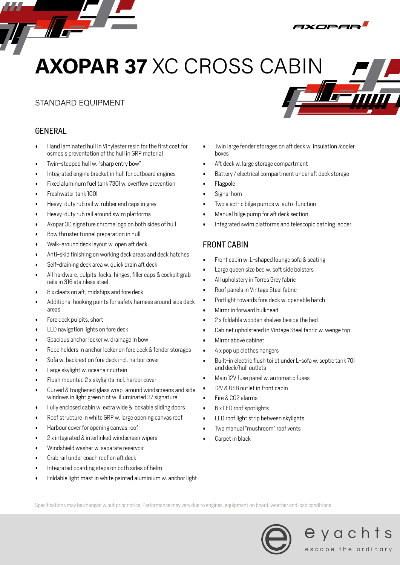# **AXOPAR 37** XC CROSS CABIN

## STANDARD EQUIPMENT

## GENERAL

- 17 -

- Hand laminated hull in Vinylester resin for the first coat for osmosis preventation of the hull in GRP material
- Twin-stepped hull w. "sharp entry bow"
- Integrated engine bracket in hull for outboard engines
- Fixed aluminum fuel tank 730l w. overflow prevention
- Freshwater tank 100l
- Heavy-duty rub rail w. rubber end caps in grey
- Heavy-duty rub rail around swim platforms
- Axopar 3D signature chrome logo on both sides of hull
- Bow thruster tunnel preparation in hull
- Walk-around deck layout w. open aft deck
- Anti-skid finishing on working deck areas and deck hatches
- Self-draining deck area w. quick drain aft deck
- All hardware, pulpits, locks, hinges, filler caps & cockpit grab rails in 316 stainless steel
- 8 x cleats on aft, midships and fore deck
- Additional hooking points for safety harness around side deck areas
- Fore deck pulpits, short
- LED navigation lights on fore deck
- Spacious anchor locker w. drainage in bow
- Rope holders in anchor locker on fore deck & fender storages
- Sofa w. backrest on fore deck incl. harbor cover
- Large skylight w. oceanair curtain
- Flush mounted 2 x skylights incl. harbor cover
- Curved & toughened glass wrap-around windscreens and side windows in light green tint w. illuminated 37 signature
- Fully enclosed cabin w. extra wide & lockable sliding doors
- Roof structure in white GRP w. large opening canvas roof
- Harbour cover for opening canvas roof
- 2 x integrated & interlinked windscreen wipers
- Windshield washer w. separate reservoir
- Grab rail under coach roof on aft deck
- Integrated boarding steps on both sides of helm
- Foldable light mast in white painted aluminium w. anchor light
- Twin large fender storages on aft deck w. insulation /cooler hovee
- Aft deck w. large storage compartment
- Battery / electrical compartment under aft deck storage
- Flagpole
- Signal horn
- Two electric bilge pumps w. auto-function
- Manual bilge pump for aft deck section
- Integrated swim platforms and telescopic bathing ladder

### FRONT CABIN

- Front cabin w. L-shaped lounge sofa & seating
- Large queen size bed w. soft side bolsters
- All upholstery in Torres Grey fabric
- Roof panels in Vintage Steel fabric
- Portlight towards fore deck w. openable hatch
- Mirror in forward bulkhead
- 2 x foldable wooden shelves beside the bed
- Cabinet upholstered in Vintage Steel fabric w. wenge top
- Mirror above cabinet
- 4 x pop up clothes hangers
- Built-in electric flush toilet under L-sofa w. septic tank 70l and deck/hull outlets
- Main 12V fuse panel w. automatic fuses
- 12V & USB outlet in front cabin
- Fire & CO2 alarms
- 6 x LED roof spotlights
- LED roof light strip between skylights
- Two manual "mushroom" roof vents
- Carpet in black

Specifications may be changed w.out prior notice. Performance may vary due to engines, equipment on board, weather and load conditions.





IXCIPER